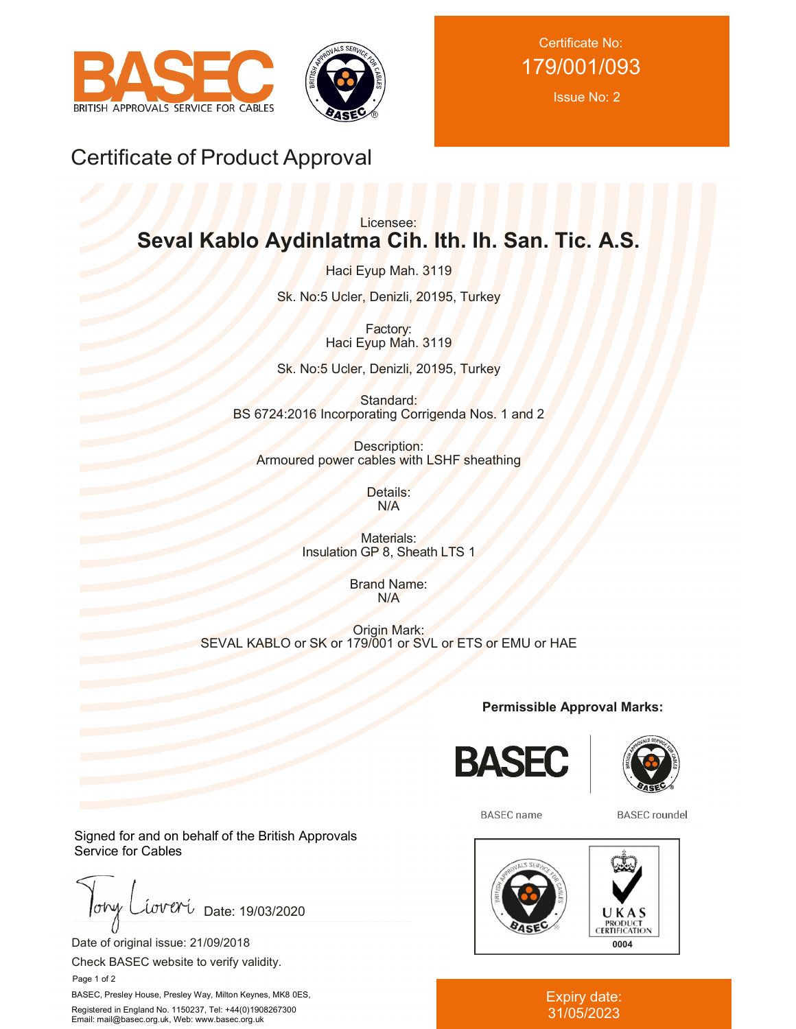



Certificate No: 179/001/093

Issue No: 2

# Certificate of Product Approval

# Licensee: **Seval Kablo Aydinlatma Cih. Ith. Ih. San. Tic. A.S.**

Haci Eyup Mah. 3119

Sk. No:5 Ucler, Denizli, 20195, Turkey

Factory: Haci Eyup Mah. 3119

Sk. No:5 Ucler, Denizli, 20195, Turkey

Standard: BS 6724:2016 Incorporating Corrigenda Nos. 1 and 2

Description: Armoured power cables with LSHF sheathing

> Details: N/A

Materials: Insulation GP 8, Sheath LTS 1

> Brand Name: N/A

Origin Mark: SEVAL KABLO or SK or 179/001 or SVL or ETS or EMU or HAE

**Permissible Approval Marks:**





**BASEC** name

**BASEC** roundel



#### Expiry date: 31/05/2023

Signed for and on behalf of the British Approvals Service for Cables

 $low$ iover Date: 19/03/2020

Date of original issue: 21/09/2018

Check BASEC website to verify validity.

Page 1 of 2

BASEC, Presley House, Presley Way, Milton Keynes, MK8 0ES, Registered in England No. 1150237, Tel: +44(0)1908267300 Email: mail@basec.org.uk, Web: www.basec.org.uk